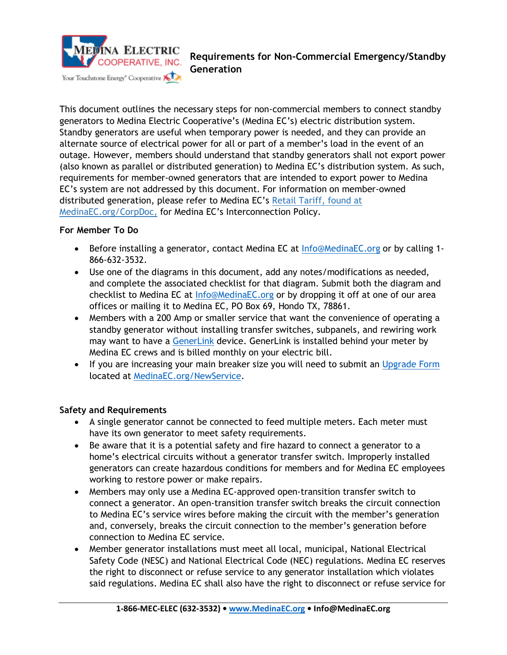

This document outlines the necessary steps for non-commercial members to connect standby generators to Medina Electric Cooperative's (Medina EC's) electric distribution system. Standby generators are useful when temporary power is needed, and they can provide an alternate source of electrical power for all or part of a member's load in the event of an outage. However, members should understand that standby generators shall not export power (also known as parallel or distributed generation) to Medina EC's distribution system. As such, requirements for member-owned generators that are intended to export power to Medina EC's system are not addressed by this document. For information on member-owned distributed generation, please refer to Medina EC's Retail Tariff, found at MedinaEC.org/CorpDoc, for Medina EC's Interconnection Policy.

### **For Member To Do**

- Before installing a generator, contact Medina EC at [Info@MedinaEC.org](mailto:Info@MedinaEC.org) or by calling 1-866-632-3532.
- Use one of the diagrams in this document, add any notes/modifications as needed, and complete the associated checklist for that diagram. Submit both the diagram and checklist to Medina EC at [Info@MedinaEC.org](mailto:Info@MedinaEC.org) or by dropping it off at one of our area offices or mailing it to Medina EC, PO Box 69, Hondo TX, 78861.
- Members with a 200 Amp or smaller service that want the convenience of operating a standby generator without installing transfer switches, subpanels, and rewiring work may want to have a [GenerLink](https://medinaec.org/products) device. GenerLink is installed behind your meter by Medina EC crews and is billed monthly on your electric bill.
- If you are increasing your main breaker size you will need to submit an [Upgrade Form](https://medinaelectric.formtracking.com/forms/mec/form27.html) located at [MedinaEC.org/NewService.](https://www.medinaec.org/newservice)

### **Safety and Requirements**

- A single generator cannot be connected to feed multiple meters. Each meter must have its own generator to meet safety requirements.
- Be aware that it is a potential safety and fire hazard to connect a generator to a home's electrical circuits without a generator transfer switch. Improperly installed generators can create hazardous conditions for members and for Medina EC employees working to restore power or make repairs.
- Members may only use a Medina EC-approved open-transition transfer switch to connect a generator. An open-transition transfer switch breaks the circuit connection to Medina EC's service wires before making the circuit with the member's generation and, conversely, breaks the circuit connection to the member's generation before connection to Medina EC service.
- Member generator installations must meet all local, municipal, National Electrical Safety Code (NESC) and National Electrical Code (NEC) regulations. Medina EC reserves the right to disconnect or refuse service to any generator installation which violates said regulations. Medina EC shall also have the right to disconnect or refuse service for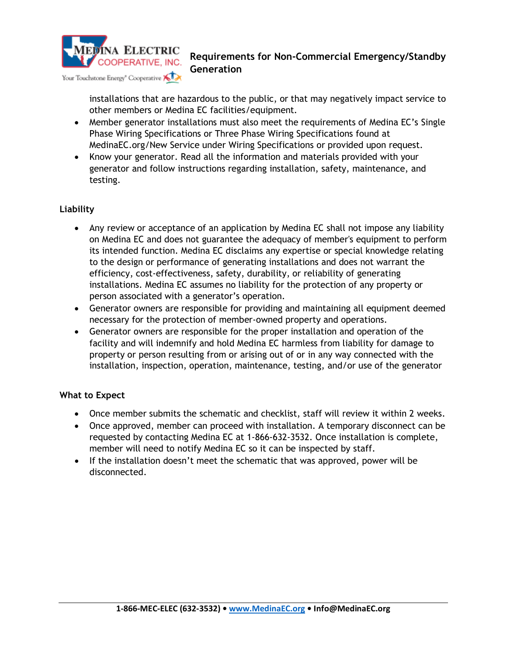

installations that are hazardous to the public, or that may negatively impact service to other members or Medina EC facilities/equipment.

- Member generator installations must also meet the requirements of Medina EC's Single Phase Wiring Specifications or Three Phase Wiring Specifications found at MedinaEC.org/New Service under Wiring Specifications or provided upon request.
- Know your generator. Read all the information and materials provided with your generator and follow instructions regarding installation, safety, maintenance, and testing.

## **Liability**

- Any review or acceptance of an application by Medina EC shall not impose any liability on Medina EC and does not guarantee the adequacy of member's equipment to perform its intended function. Medina EC disclaims any expertise or special knowledge relating to the design or performance of generating installations and does not warrant the efficiency, cost-effectiveness, safety, durability, or reliability of generating installations. Medina EC assumes no liability for the protection of any property or person associated with a generator's operation.
- Generator owners are responsible for providing and maintaining all equipment deemed necessary for the protection of member-owned property and operations.
- Generator owners are responsible for the proper installation and operation of the facility and will indemnify and hold Medina EC harmless from liability for damage to property or person resulting from or arising out of or in any way connected with the installation, inspection, operation, maintenance, testing, and/or use of the generator

### **What to Expect**

- Once member submits the schematic and checklist, staff will review it within 2 weeks.
- Once approved, member can proceed with installation. A temporary disconnect can be requested by contacting Medina EC at 1-866-632-3532. Once installation is complete, member will need to notify Medina EC so it can be inspected by staff.
- If the installation doesn't meet the schematic that was approved, power will be disconnected.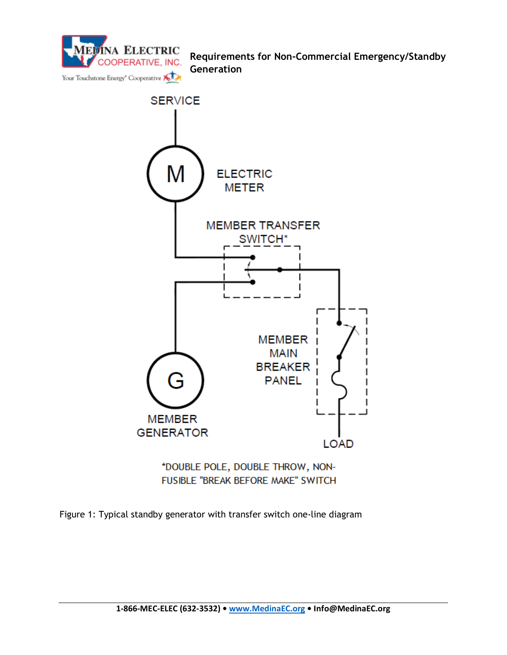



\*DOUBLE POLE, DOUBLE THROW, NON-**FUSIBLE "BREAK BEFORE MAKE" SWITCH** 

Figure 1: Typical standby generator with transfer switch one-line diagram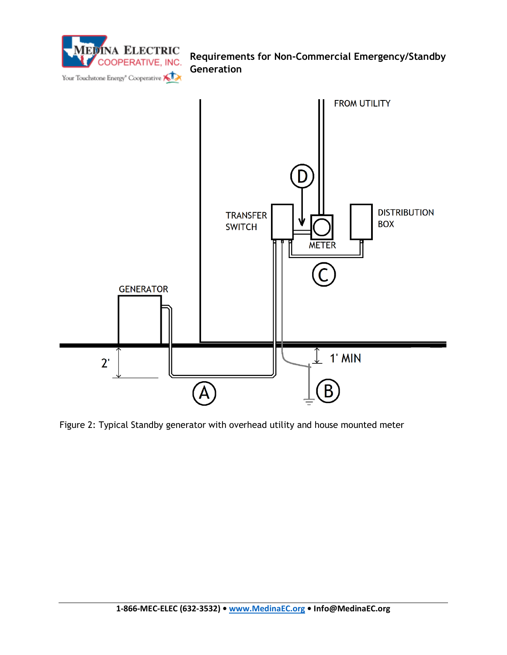

Figure 2: Typical Standby generator with overhead utility and house mounted meter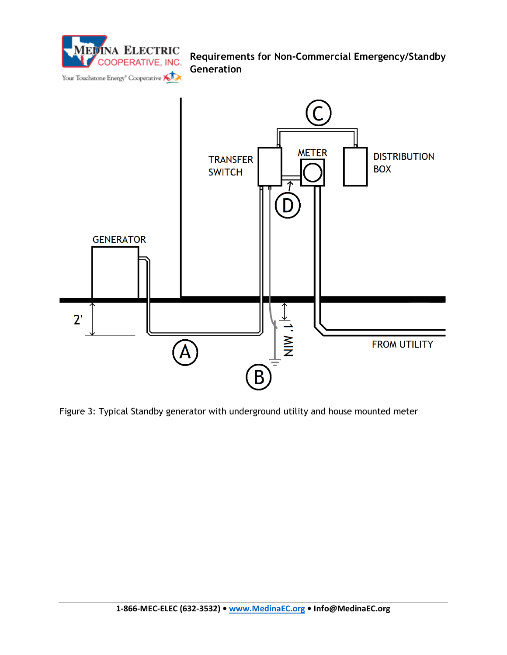



Figure 3: Typical Standby generator with underground utility and house mounted meter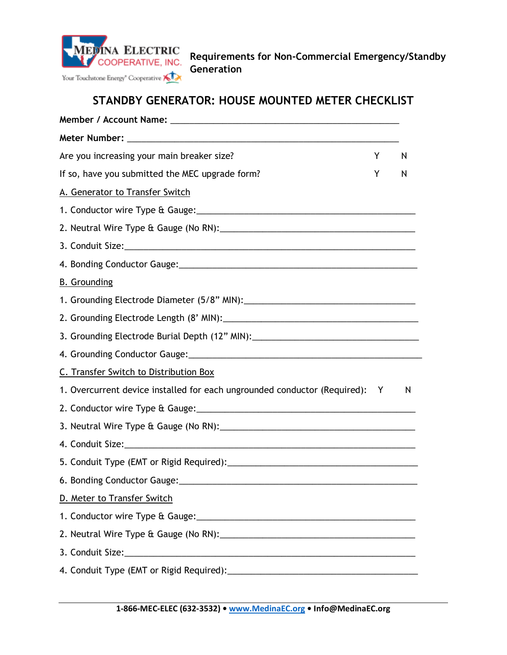

# **STANDBY GENERATOR: HOUSE MOUNTED METER CHECKLIST**

| Are you increasing your main breaker size?                                                                     | Y | N |
|----------------------------------------------------------------------------------------------------------------|---|---|
| If so, have you submitted the MEC upgrade form?                                                                | Y | N |
| A. Generator to Transfer Switch                                                                                |   |   |
|                                                                                                                |   |   |
|                                                                                                                |   |   |
|                                                                                                                |   |   |
|                                                                                                                |   |   |
| <b>B.</b> Grounding                                                                                            |   |   |
|                                                                                                                |   |   |
|                                                                                                                |   |   |
| 3. Grounding Electrode Burial Depth (12" MIN): _________________________________                               |   |   |
|                                                                                                                |   |   |
| C. Transfer Switch to Distribution Box                                                                         |   |   |
| 1. Overcurrent device installed for each ungrounded conductor (Required): Y                                    |   | N |
|                                                                                                                |   |   |
|                                                                                                                |   |   |
|                                                                                                                |   |   |
|                                                                                                                |   |   |
| 6. Bonding Conductor Gauge:                                                                                    |   |   |
| D. Meter to Transfer Switch                                                                                    |   |   |
|                                                                                                                |   |   |
|                                                                                                                |   |   |
|                                                                                                                |   |   |
| 4. Conduit Type (EMT or Rigid Required): 2008 2009 2010 2020 2031 2032 2040 2040 2041 2052 2053 2054 2055 2056 |   |   |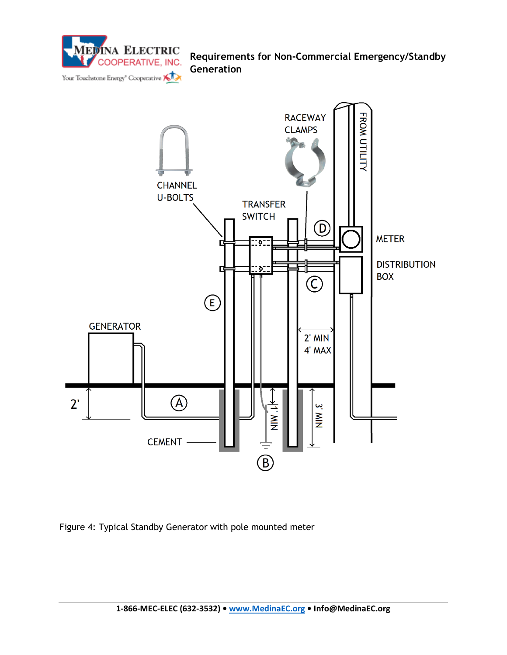



Figure 4: Typical Standby Generator with pole mounted meter